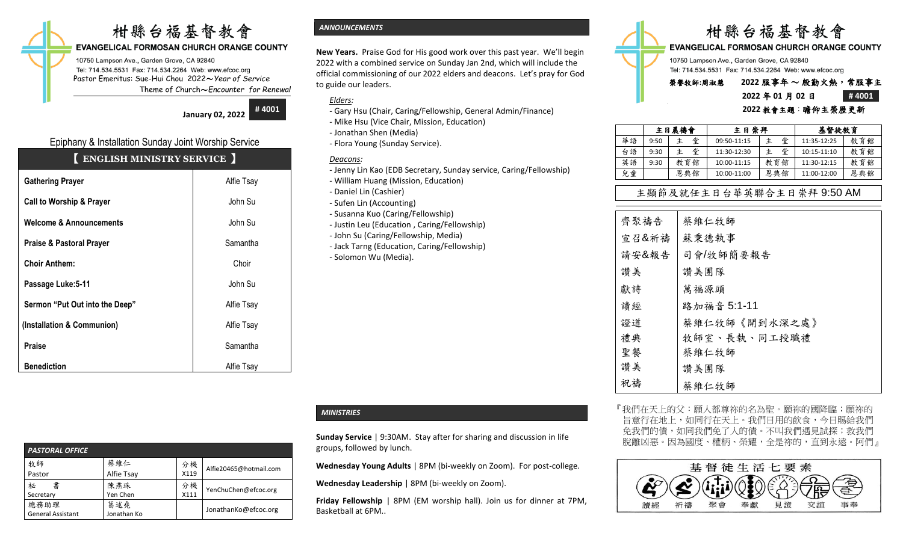# 柑縣台福基督教會

# **EVANGELICAL FORMOSAN CHURCH ORANGE COUNTY**

10750 Lampson Ave., Garden Grove, CA 92840 Tel: 714.534.5531 Fax: 714.534.2264 Web: www.efcoc.org Pastor Emeritus: Sue-Hui Chou 2022〜*Year of Service* Theme of Church〜*Encounter for Renewal*

**January 02, 2022**

**# 4001**

# Epiphany & Installation Sunday Joint Worship Service

# 【 **ENGLISH MINISTRY SERVICE** 】

| <b>Gathering Prayer</b>             | Alfie Tsay |
|-------------------------------------|------------|
| <b>Call to Worship &amp; Prayer</b> | John Su    |
| <b>Welcome &amp; Announcements</b>  | John Su    |
| <b>Praise &amp; Pastoral Prayer</b> | Samantha   |
| <b>Choir Anthem:</b>                | Choir      |
| Passage Luke: 5-11                  | John Su    |
| Sermon "Put Out into the Deep"      | Alfie Tsay |
| (Installation & Communion)          | Alfie Tsay |
| <b>Praise</b>                       | Samantha   |
| <b>Benediction</b>                  | Alfie Tsay |

| Alfie20465@hotmail.com |
|------------------------|
|                        |
| YenChuChen@efcoc.org   |
|                        |
| JonathanKo@efcoc.org   |
|                        |

## *ANNOUNCEMENTS*

**New Years.** Praise God for His good work over this past year. We'll begin 2022 with a combined service on Sunday Jan 2nd, which will include the official commissioning of our 2022 elders and deacons. Let's pray for God to guide our leaders.

*Elders:* 

- *-* Gary Hsu (Chair, Caring/Fellowship, General Admin/Finance)
- Mike Hsu (Vice Chair, Mission, Education)
- Jonathan Shen (Media)
- Flora Young (Sunday Service).

## *Deacons:*

- Jenny Lin Kao (EDB Secretary, Sunday service, Caring/Fellowship)
- William Huang (Mission, Education)
- Daniel Lin (Cashier)
- Sufen Lin (Accounting)
- Susanna Kuo (Caring/Fellowship)
- Justin Leu (Education , Caring/Fellowship)
- John Su (Caring/Fellowship, Media)
- Jack Tarng (Education, Caring/Fellowship) - Solomon Wu (Media).

# 柑縣台福基督教會

**EVANGELICAL FORMOSAN CHURCH ORANGE COUNTY** 

10750 Lampson Ave., Garden Grove, CA 92840 Tel: 714.534.5531 Fax: 714.534.2264 Web: www.efcoc.org

# 榮譽牧師**:**周淑慧 **2022** 服事年 〜 殷勤火熱,常服事主

## **2022** 年 **01** 月 **02** 日 **# 4001 2022** 教會主題:瞻仰主榮歷更新

|    | 主日晨禱會 |        | 主日崇拜        |        | 基督徒教育           |     |
|----|-------|--------|-------------|--------|-----------------|-----|
| 華語 | 9:50  | 堂<br>主 | 09:50-11:15 | 堂<br>主 | 11:35-12:25     | 教育館 |
| 台語 | 9:30  | 堂<br>主 | 11:30-12:30 | 堂<br>主 | $10:15 - 11:10$ | 教育館 |
| 英語 | 9:30  | 教育館    | 10:00-11:15 | 教育館    | 11:30-12:15     | 教育館 |
| 兒童 |       | 恩典館    | 10:00-11:00 | 恩典館    | 11:00-12:00     | 恩典館 |
|    |       |        |             |        |                 |     |

# 主顯節及就任主日台華英聯合主日崇拜 9:50 AM

| 齊聚禱告  | 蔡維仁牧師         |
|-------|---------------|
| 宣召&祈禱 | 蘇秉德執事         |
| 請安&報告 | 司會/牧師簡要報告     |
| 讚美    | 讚美團隊          |
| 獻詩    | 萬福源頭          |
| 讀經    | 路加福音 5:1-11   |
| 證道    | 蔡維仁牧師《開到水深之處》 |
| 禮典    | 牧師室、長執、同工授職禮  |
| 聖餐    | 蔡維仁牧師         |
| 讚美    | 讚美團隊          |
| 祝禱    | 蔡維仁牧師         |

『我們在天上的父:願人都尊祢的名為聖。願祢的國降臨;願祢的 旨意行在地上,如同行在天上。我們日用的飲食,今日賜給我們 免我們的債,如同我們免了人的債。不叫我們遇見試探;救我們 脫離凶惡。因為國度、權柄、榮耀,全是祢的,直到永遠。阿們』



## *MINISTRIES*

**Sunday Service** | 9:30AM. Stay after for sharing and discussion in life groups, followed by lunch.

**Wednesday Young Adults** | 8PM (bi-weekly on Zoom). For post-college.

**Wednesday Leadership** | 8PM (bi-weekly on Zoom).

**Friday Fellowship** | 8PM (EM worship hall). Join us for dinner at 7PM, Basketball at 6PM..